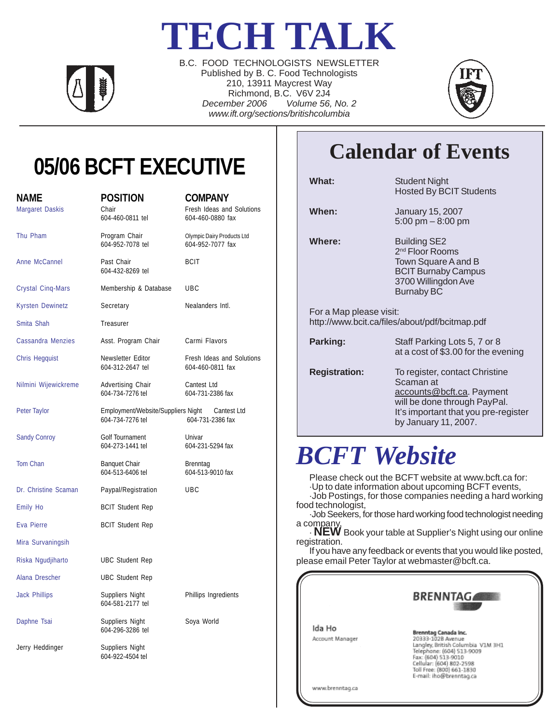# **TECH TALK**



B.C. FOOD TECHNOLOGISTS NEWSLETTER Published by B. C. Food Technologists 210, 13911 Maycrest Way Richmond, B.C. V6V 2J4 *December 2006 Volume 56, No. 2 www.ift.org/sections/britishcolumbia*



# **05/06 BCFT EXECUTIVE**

| <b>NAME</b><br><b>Margaret Daskis</b> | <b>POSITION</b><br>Chair<br>604-460-0811 tel                       | <b>COMPANY</b><br>Fresh Ideas and Solutions<br>604-460-0880 fax |
|---------------------------------------|--------------------------------------------------------------------|-----------------------------------------------------------------|
| Thu Pham                              | Program Chair<br>604-952-7078 tel                                  | Olympic Dairy Products Ltd<br>604-952-7077 fax                  |
| Anne McCannel                         | Past Chair<br>604-432-8269 tel                                     | <b>BCIT</b>                                                     |
| <b>Crystal Cinq-Mars</b>              | Membership & Database                                              | UBC                                                             |
| <b>Kyrsten Dewinetz</b>               | Secretary                                                          | Nealanders Intl.                                                |
| Smita Shah                            | Treasurer                                                          |                                                                 |
| <b>Cassandra Menzies</b>              | Asst. Program Chair                                                | Carmi Flavors                                                   |
| <b>Chris Hegquist</b>                 | Newsletter Editor<br>604-312-2647 tel                              | Fresh Ideas and Solutions<br>604-460-0811 fax                   |
| Nilmini Wijewickreme                  | Advertising Chair<br>604-734-7276 tel                              | Cantest Ltd<br>604-731-2386 fax                                 |
| Peter Taylor                          | Employment/Website/Suppliers Night Cantest Ltd<br>604-734-7276 tel | 604-731-2386 fax                                                |
| <b>Sandy Conroy</b>                   | Golf Tournament<br>604-273-1441 tel                                | Univar<br>604-231-5294 fax                                      |
| Tom Chan                              | <b>Banquet Chair</b><br>604-513-6406 tel                           | Brenntag<br>604-513-9010 fax                                    |
| Dr. Christine Scaman                  | Paypal/Registration                                                | <b>UBC</b>                                                      |
| <b>Emily Ho</b>                       | <b>BCIT Student Rep</b>                                            |                                                                 |
| Eva Pierre                            | <b>BCIT Student Rep</b>                                            |                                                                 |
| Mira Survaningsih                     |                                                                    |                                                                 |
| Riska Ngudjiharto                     | <b>UBC Student Rep</b>                                             |                                                                 |
| Alana Drescher                        | <b>UBC Student Rep</b>                                             |                                                                 |
| <b>Jack Phillips</b>                  | Suppliers Night<br>604-581-2177 tel                                | Phillips Ingredients                                            |
| Daphne Tsai                           | Suppliers Night<br>604-296-3286 tel                                | Soya World                                                      |
| Jerry Heddinger                       | Suppliers Night<br>604-922-4504 tel                                |                                                                 |

# **Calendar of Events**

**What:** Student Night Hosted By BCIT Students

**When:** January 15, 2007 5:00 pm – 8:00 pm

**Where:** Building SE2 2<sup>nd</sup> Floor Rooms Town Square A and B BCIT Burnaby Campus 3700 Willingdon Ave Burnaby BC

For a Map please visit: http://www.bcit.ca/files/about/pdf/bcitmap.pdf

| Parking:             | Staff Parking Lots 5, 7 or 8<br>at a cost of $$3.00$ for the evening                                                                                                     |
|----------------------|--------------------------------------------------------------------------------------------------------------------------------------------------------------------------|
| <b>Registration:</b> | To register, contact Christine<br>Scaman at<br>accounts@bcft.ca. Payment<br>will be done through PayPal.<br>It's important that you pre-register<br>by January 11, 2007. |

# *BCFT Website*

Please check out the BCFT website at www.bcft.ca for:

·Up to date information about upcoming BCFT events,

·Job Postings, for those companies needing a hard working food technologist,

·Job Seekers, for those hard working food technologist needing a company,

· **NEW** Book your table at Supplier's Night using our online registration.

If you have any feedback or events that you would like posted, please email Peter Taylor at webmaster@bcft.ca.

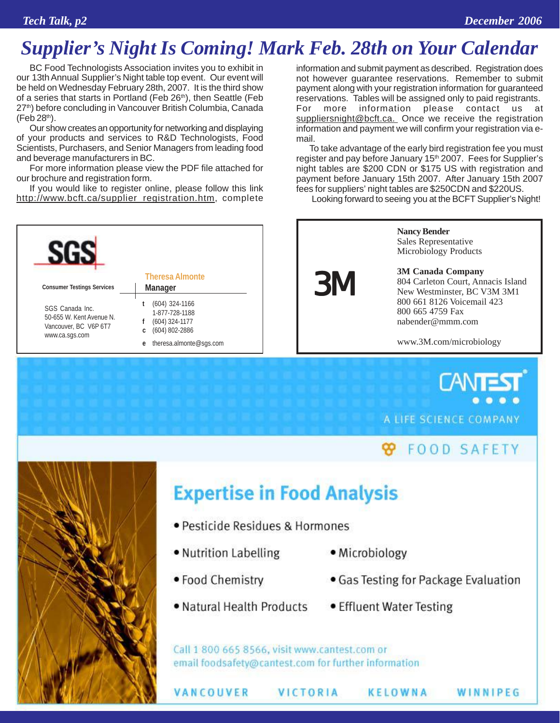### *Supplier's Night Is Coming! Mark Feb. 28th on Your Calendar*

BC Food Technologists Association invites you to exhibit in our 13th Annual Supplier's Night table top event. Our event will be held on Wednesday February 28th, 2007. It is the third show of a series that starts in Portland (Feb 26<sup>th</sup>), then Seattle (Feb 27<sup>th</sup>) before concluding in Vancouver British Columbia, Canada  $(Feb 28<sup>th</sup>)$ .

Our show creates an opportunity for networking and displaying of your products and services to R&D Technologists, Food Scientists, Purchasers, and Senior Managers from leading food and beverage manufacturers in BC.

For more information please view the PDF file attached for our brochure and registration form.

If you would like to register online, please follow this link http://www.bcft.ca/supplier\_registration.htm, complete



information and submit payment as described. Registration does not however guarantee reservations. Remember to submit payment along with your registration information for guaranteed reservations. Tables will be assigned only to paid registrants. For more information please contact us at suppliersnight@bcft.ca. Once we receive the registration information and payment we will confirm your registration via email.

To take advantage of the early bird registration fee you must register and pay before January 15<sup>th</sup> 2007. Fees for Supplier's night tables are \$200 CDN or \$175 US with registration and payment before January 15th 2007. After January 15th 2007 fees for suppliers' night tables are \$250CDN and \$220US.

Looking forward to seeing you at the BCFT Supplier's Night!



**TANT** A LIFE SCIENCE COMPANY

#### **99 FOOD SAFETY**



# **Expertise in Food Analysis**

- · Pesticide Residues & Hormones
- Nutrition Labelling
- · Microbiology
- Food Chemistry

VANCOUVER

- . Natural Health Products
- Gas Testing for Package Evaluation

WINNIPEG

• Effluent Water Testing

KELOWNA

Call 1 800 665 8566, visit www.cantest.com or email foodsafety@cantest.com for further information

VICTORIA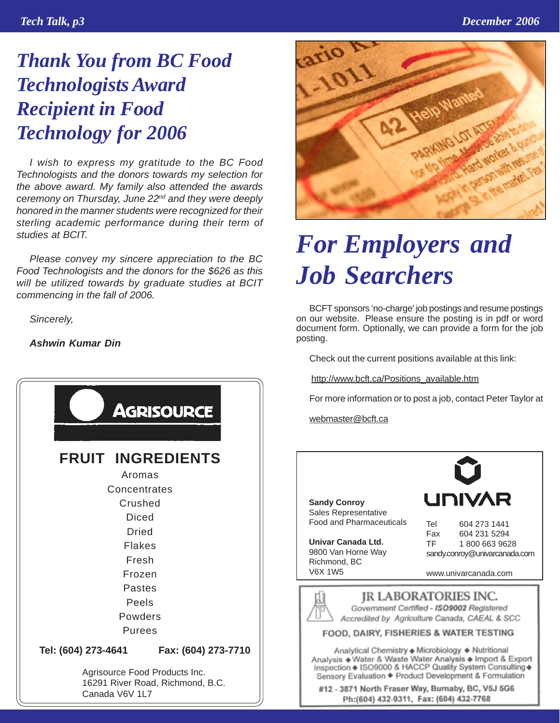## *Thank You from BC Food Technologists Award Recipient in Food Technology for 2006*

*I wish to express my gratitude to the BC Food Technologists and the donors towards my selection for the above award. My family also attended the awards ceremony on Thursday, June 22nd and they were deeply honored in the manner students were recognized for their sterling academic performance during their term of studies at BCIT.*

*Please convey my sincere appreciation to the BC Food Technologists and the donors for the \$626 as this will be utilized towards by graduate studies at BCIT commencing in the fall of 2006.*

*Sincerely,*

*Ashwin Kumar Din*





# *For Employers and Job Searchers*

BCFT sponsors 'no-charge' job postings and resume postings on our website. Please ensure the posting is in pdf or word document form. Optionally, we can provide a form for the job posting.

Check out the current positions available at this link:

http://www.bcft.ca/Positions\_available.htm

For more information or to post a job, contact Peter Taylor at

webmaster@bcft.ca

**Sandy Conroy** Sales Representative Food and Pharmaceuticals

**Univar Canada Ltd.** 9800 Van Horne Way Richmond, BC V6X 1W5

| UNIVAR |              |  |  |  |
|--------|--------------|--|--|--|
| Tel    | 604 273 1441 |  |  |  |
| Fax    | 604 231 5294 |  |  |  |

TF 1 800 663 9628 sandy.conroy@univarcanada.com

www.univarcanada.com



FOOD, DAIRY, FISHERIES & WATER TESTING

Analytical Chemistry + Microbiology + Nutritional Analysis + Water & Waste Water Analysis + Import & Export Inspection + ISO9000 & HACCP Quality System Consulting + Sensory Evaluation + Product Development & Formulation

#12 - 3871 North Fraser Way, Burnaby, BC, V5J 5G6 Ph:(604) 432-9311, Fax: (604) 432-7768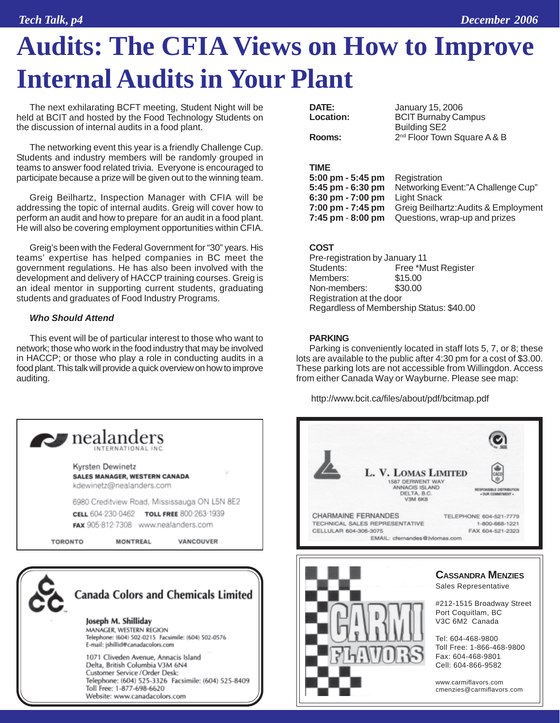# **Audits: The CFIA Views on How to Improve Internal Audits in Your Plant**

The next exhilarating BCFT meeting, Student Night will be held at BCIT and hosted by the Food Technology Students on the discussion of internal audits in a food plant.

The networking event this year is a friendly Challenge Cup. Students and industry members will be randomly grouped in teams to answer food related trivia. Everyone is encouraged to participate because a prize will be given out to the winning team.

Greig Beilhartz, Inspection Manager with CFIA will be addressing the topic of internal audits. Greig will cover how to perform an audit and how to prepare for an audit in a food plant. He will also be covering employment opportunities within CFIA.

Greig's been with the Federal Government for "30" years. His teams' expertise has helped companies in BC meet the government regulations. He has also been involved with the development and delivery of HACCP training courses. Greig is an ideal mentor in supporting current students, graduating students and graduates of Food Industry Programs.

#### *Who Should Attend*

This event will be of particular interest to those who want to network; those who work in the food industry that may be involved in HACCP; or those who play a role in conducting audits in a food plant. This talk will provide a quick overview on how to improve auditing.



1071 Cliveden Avenue, Annacis Island Delta, British Columbia V3M 6N4 Customer Service / Order Desk: Telephone: (604) 525-3326 Facsimile: (604) 525-8409 Toll Free: 1-877-698-6620 Website: www.canadacolors.com

| DATE:                 | January 15, 2006                        |
|-----------------------|-----------------------------------------|
| Location:             | <b>BCIT Burnaby Campus</b>              |
|                       | <b>Building SE2</b>                     |
| Rooms:                | 2 <sup>nd</sup> Floor Town Square A & B |
|                       |                                         |
|                       |                                         |
| TIME                  |                                         |
| $5:00$ pm - $5:45$ pm | Registration                            |
| 5:45 pm - 6:30 pm     | Networking Event:"A Challenge Cup"      |
| 6:30 pm - 7:00 pm     | <b>Light Snack</b>                      |

**7:00 pm - 7:45 pm** Greig Beilhartz:Audits & Employment **7:45 pm** - **8:00 pm** Questions, wrap-up and prizes

#### **COST**

| Pre-registration by January 11           |                     |  |  |
|------------------------------------------|---------------------|--|--|
| Students:                                | Free *Must Register |  |  |
| Members:                                 | \$15.00             |  |  |
| Non-members:                             | \$30.00             |  |  |
| Registration at the door                 |                     |  |  |
| Regardless of Membership Status: \$40.00 |                     |  |  |

#### **PARKING**

Parking is conveniently located in staff lots 5, 7, or 8; these lots are available to the public after 4:30 pm for a cost of \$3.00. These parking lots are not accessible from Willingdon. Access from either Canada Way or Wayburne. Please see map:

http://www.bcit.ca/files/about/pdf/bcitmap.pdf



www.carmiflavors.com cmenzies@carmiflavors.com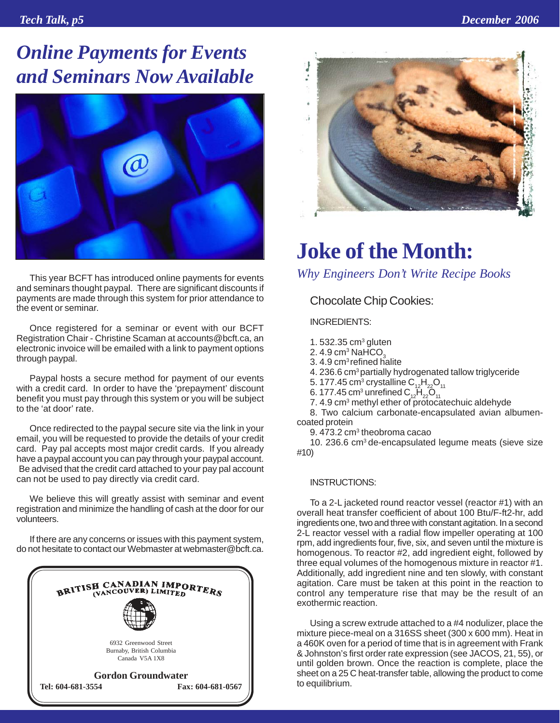## *Online Payments for Events and Seminars Now Available*



This year BCFT has introduced online payments for events and seminars thought paypal. There are significant discounts if payments are made through this system for prior attendance to the event or seminar.

Once registered for a seminar or event with our BCFT Registration Chair - Christine Scaman at accounts@bcft.ca, an electronic invoice will be emailed with a link to payment options through paypal.

Paypal hosts a secure method for payment of our events with a credit card. In order to have the 'prepayment' discount benefit you must pay through this system or you will be subject to the 'at door' rate.

Once redirected to the paypal secure site via the link in your email, you will be requested to provide the details of your credit card. Pay pal accepts most major credit cards. If you already have a paypal account you can pay through your paypal account. Be advised that the credit card attached to your pay pal account can not be used to pay directly via credit card.

We believe this will greatly assist with seminar and event registration and minimize the handling of cash at the door for our volunteers.

If there are any concerns or issues with this payment system, do not hesitate to contact our Webmaster at webmaster@bcft.ca.





## **Joke of the Month:**

*Why Engineers Don't Write Recipe Books*

Chocolate Chip Cookies:

INGREDIENTS:

- 1.  $532.35$  cm<sup>3</sup> gluten
- 2.  $4.9 \text{ cm}^3$  NaHCO<sub>3</sub>
- 3. 4.9 cm<sup>3</sup> refined halite

4. 236.6 cm3 partially hydrogenated tallow triglyceride

- 5. 177.45 cm $^3$  crystalline  $\rm C_{12}H_{22}O_{11}$
- 6. 177.45 cm $^3$  unrefined  $\text{C}_{_{12}}\text{H}_{_{22}}\text{O}_{_{11}}$
- 7. 4.9 cm<sup>3</sup> methyl ether of protocatechuic aldehyde

8. Two calcium carbonate-encapsulated avian albumencoated protein

9. 473.2 cm $^3$  theobroma cacao

10. 236.6 cm3 de-encapsulated legume meats (sieve size #10)

#### INSTRUCTIONS:

To a 2-L jacketed round reactor vessel (reactor #1) with an overall heat transfer coefficient of about 100 Btu/F-ft2-hr, add ingredients one, two and three with constant agitation. In a second 2-L reactor vessel with a radial flow impeller operating at 100 rpm, add ingredients four, five, six, and seven until the mixture is homogenous. To reactor #2, add ingredient eight, followed by three equal volumes of the homogenous mixture in reactor #1. Additionally, add ingredient nine and ten slowly, with constant agitation. Care must be taken at this point in the reaction to control any temperature rise that may be the result of an exothermic reaction.

Using a screw extrude attached to a #4 nodulizer, place the mixture piece-meal on a 316SS sheet (300 x 600 mm). Heat in a 460K oven for a period of time that is in agreement with Frank & Johnston's first order rate expression (see JACOS, 21, 55), or until golden brown. Once the reaction is complete, place the sheet on a 25 C heat-transfer table, allowing the product to come to equilibrium.